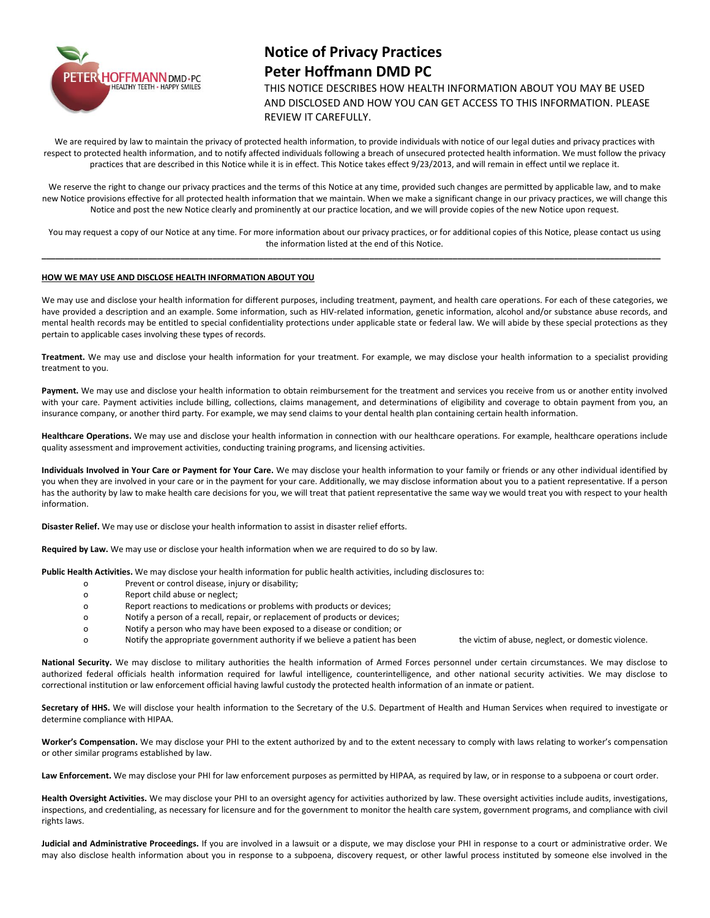

# **Notice of Privacy Practices Peter Hoffmann DMD PC**

THIS NOTICE DESCRIBES HOW HEALTH INFORMATION ABOUT YOU MAY BE USED AND DISCLOSED AND HOW YOU CAN GET ACCESS TO THIS INFORMATION. PLEASE REVIEW IT CAREFULLY.

We are required by law to maintain the privacy of protected health information, to provide individuals with notice of our legal duties and privacy practices with respect to protected health information, and to notify affected individuals following a breach of unsecured protected health information. We must follow the privacy practices that are described in this Notice while it is in effect. This Notice takes effect 9/23/2013, and will remain in effect until we replace it.

We reserve the right to change our privacy practices and the terms of this Notice at any time, provided such changes are permitted by applicable law, and to make new Notice provisions effective for all protected health information that we maintain. When we make a significant change in our privacy practices, we will change this Notice and post the new Notice clearly and prominently at our practice location, and we will provide copies of the new Notice upon request.

You may request a copy of our Notice at any time. For more information about our privacy practices, or for additional copies of this Notice, please contact us using the information listed at the end of this Notice. **\_\_\_\_\_\_\_\_\_\_\_\_\_\_\_\_\_\_\_\_\_\_\_\_\_\_\_\_\_\_\_\_\_\_\_\_\_\_\_\_\_\_\_\_\_\_\_\_\_\_\_\_\_\_\_\_\_\_\_\_\_\_\_\_\_\_\_\_\_\_\_\_\_\_\_\_\_\_\_\_\_\_\_\_\_\_\_\_\_\_\_\_\_\_\_\_\_\_\_\_\_\_\_\_\_\_\_\_\_\_\_\_\_\_\_\_\_\_\_\_\_\_\_\_\_\_\_\_\_\_\_\_\_\_**

## **HOW WE MAY USE AND DISCLOSE HEALTH INFORMATION ABOUT YOU**

We may use and disclose your health information for different purposes, including treatment, payment, and health care operations. For each of these categories, we have provided a description and an example. Some information, such as HIV-related information, genetic information, alcohol and/or substance abuse records, and mental health records may be entitled to special confidentiality protections under applicable state or federal law. We will abide by these special protections as they pertain to applicable cases involving these types of records.

**Treatment.** We may use and disclose your health information for your treatment. For example, we may disclose your health information to a specialist providing treatment to you.

Payment. We may use and disclose your health information to obtain reimbursement for the treatment and services you receive from us or another entity involved with your care. Payment activities include billing, collections, claims management, and determinations of eligibility and coverage to obtain payment from you, an insurance company, or another third party. For example, we may send claims to your dental health plan containing certain health information.

**Healthcare Operations.** We may use and disclose your health information in connection with our healthcare operations. For example, healthcare operations include quality assessment and improvement activities, conducting training programs, and licensing activities.

**Individuals Involved in Your Care or Payment for Your Care.** We may disclose your health information to your family or friends or any other individual identified by you when they are involved in your care or in the payment for your care. Additionally, we may disclose information about you to a patient representative. If a person has the authority by law to make health care decisions for you, we will treat that patient representative the same way we would treat you with respect to your health information.

**Disaster Relief.** We may use or disclose your health information to assist in disaster relief efforts.

**Required by Law.** We may use or disclose your health information when we are required to do so by law.

**Public Health Activities.** We may disclose your health information for public health activities, including disclosures to:

- o Prevent or control disease, injury or disability;
- o Report child abuse or neglect;
- o Report reactions to medications or problems with products or devices;
- o Notify a person of a recall, repair, or replacement of products or devices;
- o Notify a person who may have been exposed to a disease or condition; or
- o Notify the appropriate government authority if we believe a patient has been the victim of abuse, neglect, or domestic violence.

**National Security.** We may disclose to military authorities the health information of Armed Forces personnel under certain circumstances. We may disclose to authorized federal officials health information required for lawful intelligence, counterintelligence, and other national security activities. We may disclose to correctional institution or law enforcement official having lawful custody the protected health information of an inmate or patient.

Secretary of HHS. We will disclose your health information to the Secretary of the U.S. Department of Health and Human Services when required to investigate or determine compliance with HIPAA.

**Worker's Compensation.** We may disclose your PHI to the extent authorized by and to the extent necessary to comply with laws relating to worker's compensation or other similar programs established by law.

Law Enforcement. We may disclose your PHI for law enforcement purposes as permitted by HIPAA, as required by law, or in response to a subpoena or court order.

**Health Oversight Activities.** We may disclose your PHI to an oversight agency for activities authorized by law. These oversight activities include audits, investigations, inspections, and credentialing, as necessary for licensure and for the government to monitor the health care system, government programs, and compliance with civil rights laws.

**Judicial and Administrative Proceedings.** If you are involved in a lawsuit or a dispute, we may disclose your PHI in response to a court or administrative order. We may also disclose health information about you in response to a subpoena, discovery request, or other lawful process instituted by someone else involved in the